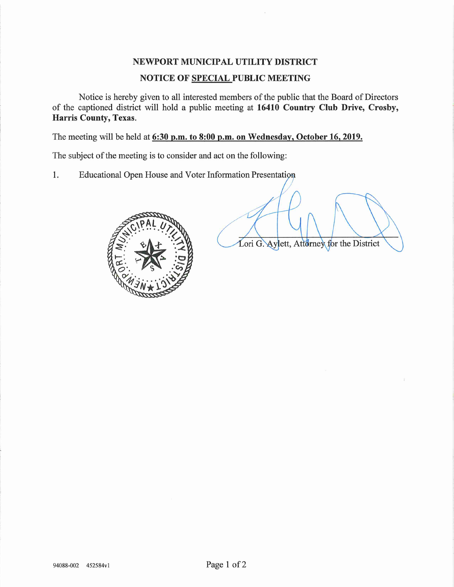# NEWPORT MUNICIPAL UTILITY DISTRICT NOTICE OF SPECIAL PUBLIC MEETING

Notice is hereby given to all interested members of the public that the Board of Directors of the captioned district will hold a public meeting at 16410 Country Club Drive, Crosby, Harris County, Texas.

The meeting will be held at 6:30 p.m. to 8:00 p.m. on Wednesday, October 16, 2019.

The subject of the meeting is to consider and act on the following:

1. Educational Open House and Voter Information Presentatipa



Lori G. Aylett, Attorney for the District